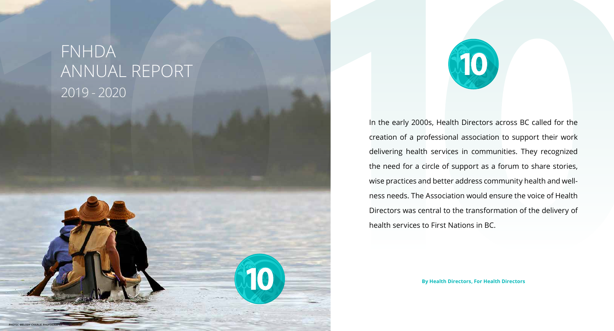In the early 2000s, Health Directors across BC called for the creation of a professional association to support their work delivering health services in communities. They recognized the need for a circle of support as a forum to share stories, wise practices and better address community health and wellness needs. The Association would ensure the voice of Health Directors was central to the transformation of the delivery of health services to First Nations in BC.

**By Health Directors, For Health Directors**

# FNHDA ANNUAL REPORT 2019 - 2020



**photo: melody charlie photography**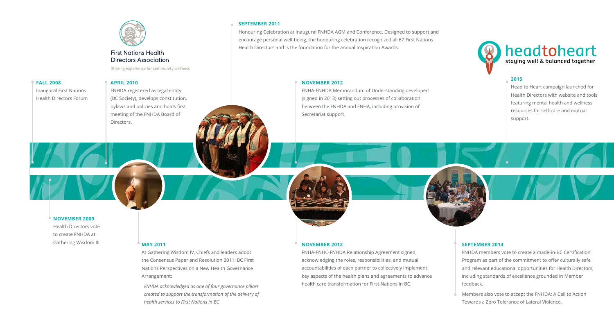

### **First Nations Health Directors Association**

Sharing experience for community wellness

#### **FALL 2008**

Inaugural First Nations Health Directors Forum

#### **NOVEMBER 2009**

Health Directors vote to create FNHDA at Gathering Wisdom III

#### **APRIL 2010**

FNHDA registered as legal entity (BC Society), develops constitution, bylaws and policies and holds first meeting of the FNHDA Board of Directors.

#### **MAY 2011**

At Gathering Wisdom IV, Chiefs and leaders adopt the Consensus Paper and Resolution 2011: BC First Nations Perspectives on a New Health Governance Arrangement:

*FNHDA acknowledged as one of four governance pillars created to support the transformation of the delivery of health services to First Nations in BC*

#### **SEPTEMBER 2011**

Honouring Celebration at inaugural FNHDA AGM and Conference. Designed to support and encourage personal well-being, the honouring celebration recognized all 67 First Nations Health Directors and is the foundation for the annual Inspiration Awards.

#### **NOVEMBER 2012**

FNHA-FNHDA Memorandum of Understanding developed (signed in 2013) setting out processes of collaboration between the FNHDA and FNHA, including provision of Secretariat support.

#### **SEPTEMBER 2014**

FNHDA members vote to create a made-in-BC Certification Program as part of the commitment to offer culturally safe and relevant educational opportunities for Health Directors, including standards of excellence grounded in Member feedback.

Members also vote to accept the [FNHDA: A Call to Action](http://fnhda.ca/wp-content/uploads/2016/04/FNHDA-Lateral-Violence-Position-Statement.pdf)  [Towards a Zero Tolerance of Lateral Violence](http://fnhda.ca/wp-content/uploads/2016/04/FNHDA-Lateral-Violence-Position-Statement.pdf).

#### **2015**

Head to Heart campaign launched for Health Directors with website and tools featuring mental health and wellness resources for self-care and mutual support.



#### **NOVEMBER 2012**

FNHA-FNHC-FNHDA Relationship Agreement signed, acknowledging the roles, responsibilities, and mutual accountabilities of each partner to collectively implement key aspects of the health plans and agreements to advance health care transformation for First Nations in BC.

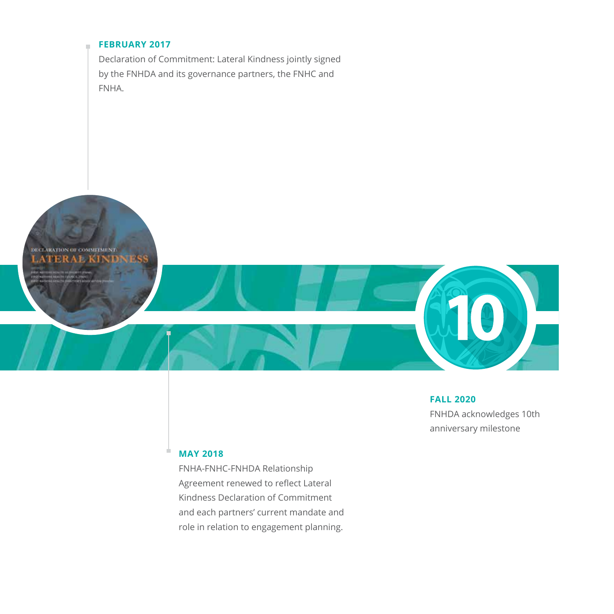#### **FEBRUARY 2017**

Declaration of Commitment: Lateral Kindness jointly signed by the FNHDA and its governance partners, the FNHC and FNHA.

DECLARATION OF COMMITMENT **TERAL KI** 

 $\bar{a}$ 



**MAY 2018**

a,

FNHA-FNHC-FNHDA Relationship Agreement renewed to reflect Lateral Kindness Declaration of Commitment and each partners' current mandate and role in relation to engagement planning.

#### **FALL 2020**

FNHDA acknowledges 10th anniversary milestone

10

 $\overline{\phantom{a}}$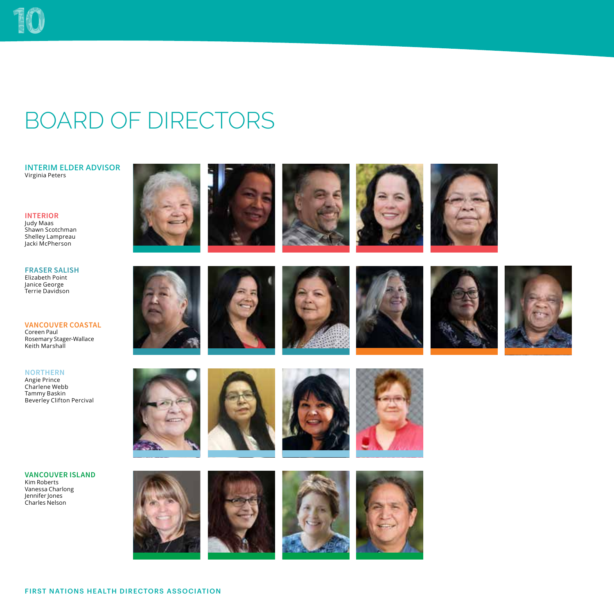### BOARD OF DIRECTORS

**INTERIM ELDER ADVISOR** Virginia Peters

**INTERIOR** Judy Maas Shawn Scotchman Shelley Lampreau Jacki McPherson

**FRASER SALISH** Elizabeth Point Janice George Terrie Davidson

**VANCOUVER COASTAL** Coreen Paul Rosemary Stager-Wallace Keith Marshall

**NORTHERN**

Angie Prince Charlene Webb Tammy Baskin Beverley Clifton Percival

























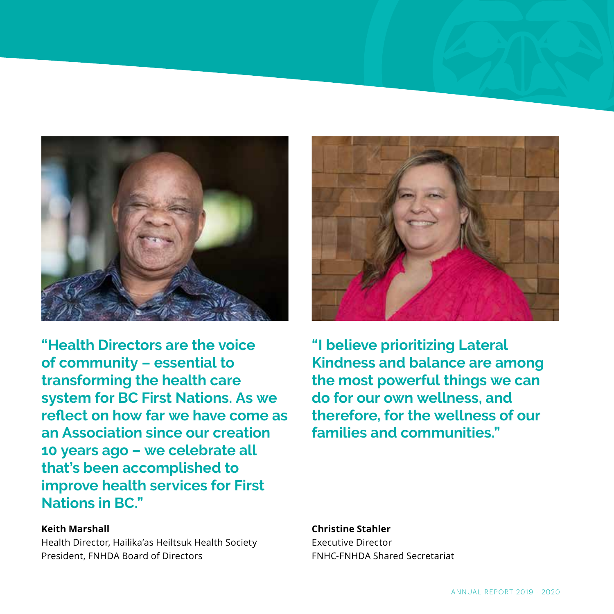

**"Health Directors are the voice of community – essential to transforming the health care system for BC First Nations. As we reflect on how far we have come as an Association since our creation 10 years ago – we celebrate all that's been accomplished to improve health services for First Nations in BC."**

#### **Keith Marshall**

Health Director, Hailika'as Heiltsuk Health Society President, FNHDA Board of Directors



**"I believe prioritizing Lateral Kindness and balance are among the most powerful things we can do for our own wellness, and therefore, for the wellness of our families and communities."**

#### **Christine Stahler**

Executive Director FNHC-FNHDA Shared Secretariat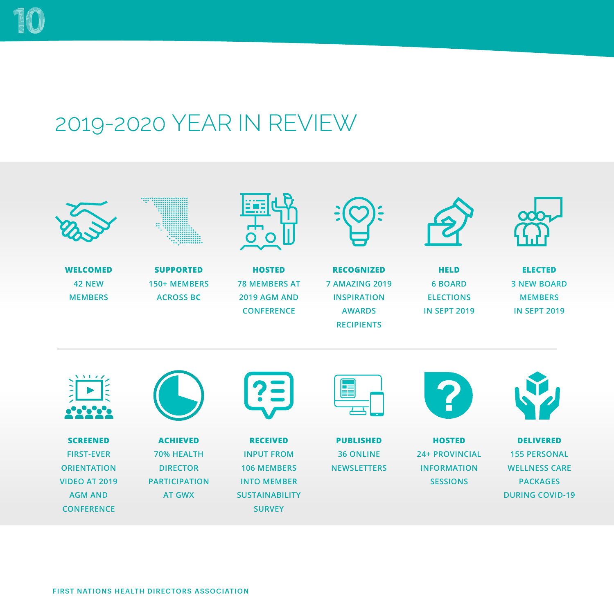## 2019-2020 YEAR IN REVIEW

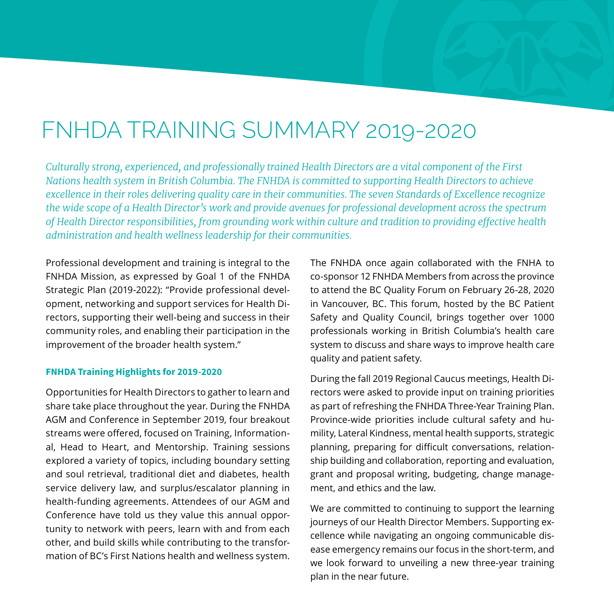### FNHDA TRAINING SUMMARY 2019-2020

*Culturally strong, experienced, and professionally trained Health Directors are a vital component of the First Nations health system in British Columbia. The FNHDA is committed to supporting Health Directors to achieve excellence in their roles delivering quality care in their communities. The seven Standards of Excellence recognize the wide scope of a Health Director's work and provide avenues for professional development across the spectrum of Health Director responsibilities, from grounding work within culture and tradition to providing effective health administration and health wellness leadership for their communities.*

Professional development and training is integral to the FNHDA Mission, as expressed by Goal 1 of the FNHDA Strategic Plan (2019-2022): "Provide professional development, networking and support services for Health Directors, supporting their well-being and success in their community roles, and enabling their participation in the improvement of the broader health system."

#### **FNHDA Training Highlights for 2019-2020**

Opportunities for Health Directors to gather to learn and share take place throughout the year. During the FNHDA AGM and Conference in September 2019, four breakout streams were offered, focused on Training, Informational, Head to Heart, and Mentorship. Training sessions explored a variety of topics, including boundary setting and soul retrieval, traditional diet and diabetes, health service delivery law, and surplus/escalator planning in health-funding agreements. Attendees of our AGM and Conference have told us they value this annual opportunity to network with peers, learn with and from each other, and build skills while contributing to the transformation of BC's First Nations health and wellness system.

The FNHDA once again collaborated with the FNHA to co-sponsor 12 FNHDA Members from across the province to attend the BC Quality Forum on February 26-28, 2020 in Vancouver, BC. This forum, hosted by the BC Patient Safety and Quality Council, brings together over 1000 professionals working in British Columbia's health care system to discuss and share ways to improve health care quality and patient safety.

During the fall 2019 Regional Caucus meetings, Health Directors were asked to provide input on training priorities as part of refreshing the FNHDA Three-Year Training Plan. Province-wide priorities include cultural safety and humility, Lateral Kindness, mental health supports, strategic planning, preparing for difficult conversations, relationship building and collaboration, reporting and evaluation, grant and proposal writing, budgeting, change management, and ethics and the law.

We are committed to continuing to support the learning journeys of our Health Director Members. Supporting excellence while navigating an ongoing communicable disease emergency remains our focus in the short-term, and we look forward to unveiling a new three-year training plan in the near future.